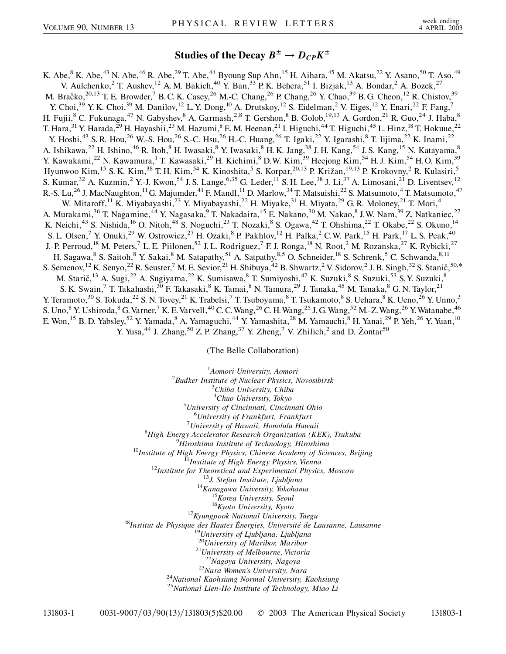## **Studies of the Decay**  $B^{\pm} \rightarrow D_{CP} K^{\pm}$

K. Abe,<sup>8</sup> K. Abe,<sup>43</sup> N. Abe,<sup>46</sup> R. Abe,<sup>29</sup> T. Abe,<sup>44</sup> Byoung Sup Ahn,<sup>15</sup> H. Aihara,<sup>45</sup> M. Akatsu,<sup>22</sup> Y. Asano,<sup>50</sup> T. Aso,<sup>49</sup> V. Aulchenko, <sup>2</sup> T. Aushev, <sup>12</sup> A. M. Bakich, <sup>40</sup> Y. Ban, <sup>33</sup> P. K. Behera, <sup>51</sup> I. Bizjak, <sup>13</sup> A. Bondar, <sup>2</sup> A. Bozek, <sup>27</sup> M. Bračko,<sup>20,13</sup> T. E. Browder,<sup>7</sup> B. C. K. Casey,<sup>26</sup> M.-C. Chang,<sup>26</sup> P. Chang,<sup>26</sup> Y. Chao,<sup>39</sup> B. G. Cheon,<sup>12</sup> R. Chistov,<sup>39</sup> Y. Choi,<sup>39</sup> Y. K. Choi,<sup>39</sup> M. Danilov,<sup>12</sup> L. Y. Dong,<sup>10</sup> A. Drutskoy,<sup>12</sup> S. Eidelman,<sup>2</sup> V. Eiges,<sup>12</sup> Y. Enari,<sup>22</sup> F. Fang,<sup>7</sup> H. Fujii,<sup>8</sup> C. Fukunaga,<sup>47</sup> N. Gabyshev,<sup>8</sup> A. Garmash,<sup>2,8</sup> T. Gershon,<sup>8</sup> B. Golob,<sup>19,13</sup> A. Gordon,<sup>21</sup> R. Guo,<sup>24</sup> J. Haba,<sup>8</sup> T. Hara,<sup>31</sup> Y. Harada,<sup>29</sup> H. Hayashii,<sup>23</sup> M. Hazumi,<sup>8</sup> E. M. Heenan,<sup>21</sup> I. Higuchi,<sup>44</sup> T. Higuchi,<sup>45</sup> L. Hinz,<sup>18</sup> T. Hokuue,<sup>22</sup> Y. Hoshi,<sup>43</sup> S. R. Hou,<sup>26</sup> W.-S. Hou,<sup>26</sup> S.-C. Hsu,<sup>26</sup> H.-C. Huang,<sup>26</sup> T. Igaki,<sup>22</sup> Y. Igarashi,<sup>8</sup> T. Iijima,<sup>22</sup> K. Inami,<sup>22</sup> A. Ishikawa,<sup>22</sup> H. Ishino,<sup>46</sup> R. Itoh,<sup>8</sup> H. Iwasaki,<sup>8</sup> Y. Iwasaki,<sup>8</sup> H. K. Jang,<sup>38</sup> J. H. Kang,<sup>54</sup> J. S. Kang,<sup>15</sup> N. Katayama,<sup>8</sup> Y. Kawakami,<sup>22</sup> N. Kawamura,<sup>1</sup> T. Kawasaki,<sup>29</sup> H. Kichimi,<sup>8</sup> D.W. Kim,<sup>39</sup> Heejong Kim,<sup>54</sup> H. J. Kim,<sup>54</sup> H. O. Kim,<sup>39</sup> Hyunwoo Kim,<sup>15</sup> S. K. Kim,<sup>38</sup> T. H. Kim,<sup>54</sup> K. Kinoshita,<sup>5</sup> S. Korpar,<sup>20,13</sup> P. Križan,<sup>19,13</sup> P. Krokovny,<sup>2</sup> R. Kulasiri,<sup>5</sup> S. Kumar,<sup>32</sup> A. Kuzmin,<sup>2</sup> Y.-J. Kwon,<sup>54</sup> J. S. Lange,<sup>6,35</sup> G. Leder,<sup>11</sup> S. H. Lee,<sup>38</sup> J. Li,<sup>37</sup> A. Limosani,<sup>21</sup> D. Liventsev,<sup>12</sup> R.-S. Lu,<sup>26</sup> J. MacNaughton,<sup>11</sup> G. Majumder,<sup>41</sup> F. Mandl,<sup>11</sup> D. Marlow,<sup>34</sup> T. Matsuishi,<sup>22</sup> S. Matsumoto,<sup>4</sup> T. Matsumoto,<sup>47</sup> W. Mitaroff,<sup>11</sup> K. Miyabayashi,<sup>23</sup> Y. Miyabayashi,<sup>22</sup> H. Miyake,<sup>31</sup> H. Miyata,<sup>29</sup> G. R. Moloney,<sup>21</sup> T. Mori,<sup>4</sup> A. Murakami,<sup>36</sup> T. Nagamine,<sup>44</sup> Y. Nagasaka,<sup>9</sup> T. Nakadaira,<sup>45</sup> E. Nakano,<sup>30</sup> M. Nakao,<sup>8</sup> J.W. Nam,<sup>39</sup> Z. Natkaniec,<sup>27</sup> K. Neichi,<sup>43</sup> S. Nishida,<sup>16</sup> O. Nitoh,<sup>48</sup> S. Noguchi,<sup>23</sup> T. Nozaki,<sup>8</sup> S. Ogawa,<sup>42</sup> T. Ohshima,<sup>22</sup> T. Okabe,<sup>22</sup> S. Okuno,<sup>14</sup> S. L. Olsen,<sup>7</sup> Y. Onuki,<sup>29</sup> W. Ostrowicz,<sup>27</sup> H. Ozaki,<sup>8</sup> P. Pakhlov,<sup>12</sup> H. Palka,<sup>2</sup> C.W. Park,<sup>15</sup> H. Park,<sup>17</sup> L. S. Peak,<sup>40</sup> J.-P. Perroud,<sup>18</sup> M. Peters,<sup>7</sup> L. E. Piilonen,<sup>52</sup> J. L. Rodriguez,<sup>7</sup> F. J. Ronga,<sup>18</sup> N. Root,<sup>2</sup> M. Rozanska,<sup>27</sup> K. Rybicki,<sup>27</sup> H. Sagawa, <sup>8</sup> S. Saitoh, <sup>8</sup> Y. Sakai, <sup>8</sup> M. Satapathy, <sup>51</sup> A. Satpathy, <sup>8,5</sup> O. Schneider, <sup>18</sup> S. Schrenk, <sup>5</sup> C. Schwanda, <sup>8,11</sup> S. Semenov, <sup>12</sup> K. Senyo, <sup>22</sup> R. Seuster, <sup>7</sup> M. E. Sevior, <sup>21</sup> H. Shibuya, <sup>42</sup> B. Shwartz, <sup>2</sup> V. Sidorov, <sup>2</sup> J. B. Singh, <sup>32</sup> S. Stanič, <sup>50,\*</sup> M. Starič,<sup>13</sup> A. Sugi,<sup>22</sup> A. Sugiyama,<sup>22</sup> K. Sumisawa,<sup>8</sup> T. Sumiyoshi,<sup>47</sup> K. Suzuki,<sup>8</sup> S. Suzuki,<sup>53</sup> S. Y. Suzuki,<sup>8</sup> S. K. Swain,<sup>7</sup> T. Takahashi,<sup>30</sup> F. Takasaki,<sup>8</sup> K. Tamai,<sup>8</sup> N. Tamura,<sup>29</sup> J. Tanaka,<sup>45</sup> M. Tanaka,<sup>8</sup> G. N. Taylor,<sup>21</sup> Y. Teramoto,<sup>30</sup> S. Tokuda,<sup>22</sup> S. N. Tovey,<sup>21</sup> K. Trabelsi,<sup>7</sup> T. Tsuboyama,<sup>8</sup> T. Tsukamoto,<sup>8</sup> S. Uehara,<sup>8</sup> K. Ueno,<sup>26</sup> Y. Unno,<sup>3</sup> S. Uno,<sup>8</sup> Y. Ushiroda, <sup>8</sup> G. Varner, <sup>7</sup> K. E. Varvell, <sup>40</sup> C. C. Wang, <sup>26</sup> C. H. Wang, <sup>25</sup> J. G. Wang, <sup>52</sup> M.-Z. Wang, <sup>26</sup> Y. Watanabe, <sup>46</sup> E. Won,<sup>15</sup> B. D. Yabsley,<sup>52</sup> Y. Yamada,<sup>8</sup> A. Yamaguchi,<sup>44</sup> Y. Yamashita,<sup>28</sup> M. Yamauchi,<sup>8</sup> H. Yanai,<sup>29</sup> P. Yeh,<sup>26</sup> Y. Yuan,<sup>10</sup> Y. Yusa,<sup>44</sup> J. Zhang,<sup>50</sup> Z. P. Zhang,<sup>37</sup> Y. Zheng,<sup>7</sup> V. Zhilich,<sup>2</sup> and D. Žontar<sup>50</sup>

(The Belle Collaboration)

<sup>1</sup>Aomori University, Aomori <sup>1</sup> Aomori University, Aomori<br><sup>2</sup> Pudker Institute of Nuclear Physics *Budker Institute of Nuclear Physics, Novosibirsk* <sup>3</sup> *Chiba University, Chiba* <sup>4</sup>Chuo University, Tokyo<sup>5</sup> University of Cincinnati, Cincin *University of Cincinnati, Cincinnati Ohio* <sup>6</sup> *University of Frankfurt, Frankfurt* <sup>7</sup> *University of Hawaii, Honolulu Hawaii* <sup>8</sup> *High Energy Accelerator Research Organization (KEK), Tsukuba* <sup>9</sup> <sup>9</sup>Hiroshima Institute of Technology, Hiroshima<br><sup>10</sup>Institute of High Energy Physics, Chinese Academy of Sciences, Beijing<br><sup>11</sup>Institute for Theoretical and Experimental Physics, Moscow<br><sup>12</sup>Institute for Theoretical and E <sup>19</sup>University of Ljubljana, Ljubljana<br><sup>20</sup>University of Maribor, Maribor<br><sup>21</sup>University of Melbourne, Victoria <sup>22</sup>*Nagoya University, Nagoya* <sup>23</sup>*Nara Women's University, Nara* <sup>24</sup>*National Kaohsiung Normal University, Kaohsiung* <sup>25</sup>*National Lien-Ho Institute of Technology, Miao Li*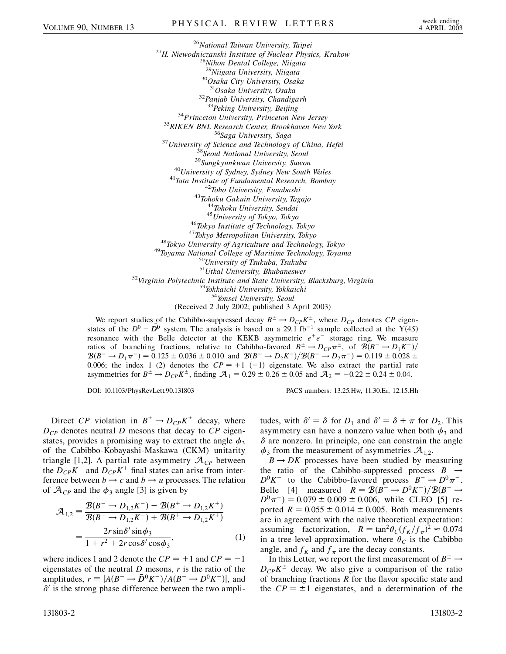<sup>26</sup>*National Taiwan University, Taipei* <sup>27</sup>*H. Niewodniczanski Institute of Nuclear Physics, Krakow* <sup>28</sup>*Nihon Dental College, Niigata* <sup>29</sup>*Niigata University, Niigata* <sup>30</sup>*Osaka City University, Osaka* <sup>32</sup>Panjab University, Chandigarh<sup>33</sup>Peking University, Beijing  $\begin{array}{c} \text{^{33}Peking University, Beijing} \\ \text{^{34}Priinceton University, Princeton New Jersey} \\ \text{^{35}RIKEN BNL Research Center, Brookhaven New York} \\ \text{^{36}Saga University, Saga} \\ \text{^{37}University of Science and Technology of China, Hefei} \\ \text{^{38}Seoul National University, Seoul} \\ \text{^{39}Sungkyunkwan University, Seoul} \\ \text{^{40}University of Sydney, Sydney New South Wales} \\ \text{^{41}Tata Institute of Fundamental Research, Bombay} \\ \text{^{42}Toho University, Funabashi} \\ \text{^{43}Tohoku Gakuin University, Tagajo} \\ \text{^{44}Tohoku University, Sendazi} \\ \text{^{45$ <sup>51</sup>*Utkal University, Bhubaneswer* <sup>52</sup>*Virginia Polytechnic Institute and State University, Blacksburg, Virginia* <sup>53</sup>*Yokkaichi University, Yokkaichi* <sup>54</sup>*Yonsei University, Seoul* (Received 2 July 2002; published 3 April 2003)

We report studies of the Cabibbo-suppressed decay  $B^{\pm} \to D_{CP} K^{\pm}$ , where  $D_{CP}$  denotes *CP* eigenstates of the  $D^0 - \overline{D^0}$  system. The analysis is based on a 29.1 fb<sup>-1</sup> sample collected at the  $\overline{Y(4S)}$ resonance with the Belle detector at the KEKB asymmetric  $e^+e^-$  storage ring. We measure ratios of branching fractions, relative to Cabibbo-favored  $B^{\pm} \to D_{CP} \pi^{\pm}$ , of  $\mathcal{B}(B^- \to D_1 K^-)/$  $\mathcal{B}(B^- \to D_1 \pi^-) = 0.125 \pm 0.036 \pm 0.010$  and  $\mathcal{B}(B^- \to D_2 K^-)/\mathcal{B}(B^- \to D_2 \pi^-) = 0.119 \pm 0.028 \pm 0.026$ 0.006; the index 1 (2) denotes the  $CP = +1$  (-1) eigenstate. We also extract the partial rate asymmetries for  $B^{\pm} \to D_{CP} K^{\pm}$ , finding  $A_1 = 0.29 \pm 0.26 \pm 0.05$  and  $A_2 = -0.22 \pm 0.24 \pm 0.04$ .

DOI: 10.1103/PhysRevLett.90.131803 PACS numbers: 13.25.Hw, 11.30.Er, 12.15.Hh

Direct *CP* violation in  $B^{\pm} \rightarrow D_{CP} K^{\pm}$  decay, where  $D_{CP}$  denotes neutral *D* mesons that decay to *CP* eigenstates, provides a promising way to extract the angle  $\phi_3$ of the Cabibbo-Kobayashi-Maskawa (CKM) unitarity triangle [1,2]. A partial rate asymmetry  $\mathcal{A}_{CP}$  between the  $D_{CP}K^-$  and  $D_{CP}K^+$  final states can arise from interference between  $b \rightarrow c$  and  $b \rightarrow u$  processes. The relation of  $\mathcal{A}_{CP}$  and the  $\phi_3$  angle [3] is given by

$$
\mathcal{A}_{1,2} = \frac{\mathcal{B}(B^- \to D_{1,2}K^-) - \mathcal{B}(B^+ \to D_{1,2}K^+)}{\mathcal{B}(B^- \to D_{1,2}K^-) + \mathcal{B}(B^+ \to D_{1,2}K^+)} = \frac{2r \sin \delta' \sin \phi_3}{1 + r^2 + 2r \cos \delta' \cos \phi_3},
$$
(1)

where indices 1 and 2 denote the  $CP = +1$  and  $CP = -1$ eigenstates of the neutral *D* mesons, *r* is the ratio of the amplitudes,  $r \equiv |A(B^- \to \bar{D}^0 K^-)/A(B^- \to D^0 K^-)|$ , and  $\delta'$  is the strong phase difference between the two ampli-

tudes, with  $\delta' = \delta$  for  $D_1$  and  $\delta' = \delta + \pi$  for  $D_2$ . This asymmetry can have a nonzero value when both  $\phi_3$  and  $\delta$  are nonzero. In principle, one can constrain the angle  $\phi_3$  from the measurement of asymmetries  $\mathcal{A}_{1,2}$ .

 $B \rightarrow DK$  processes have been studied by measuring the ratio of the Cabibbo-suppressed process  $B^- \rightarrow$  $D^0 K^-$  to the Cabibbo-favored process  $B^- \to D^0 \pi^-$ . Belle [4] measured  $R = B(B^- \rightarrow D^0 K^-)/B(B^- \rightarrow$  $D^0 \pi^-$  = 0.079 ± 0.009 ± 0.006, while CLEO [5] reported  $R = 0.055 \pm 0.014 \pm 0.005$ . Both measurements are in agreement with the naïve theoretical expectation: assuming factorization,  $R = \tan^2 \theta_C (f_K/f_\pi)^2 \approx 0.074$ in a tree-level approximation, where  $\theta_C$  is the Cabibbo angle, and  $f_K$  and  $f_\pi$  are the decay constants.

In this Letter, we report the first measurement of  $B^{\pm} \rightarrow$  $D_{CP}K^{\pm}$  decay. We also give a comparison of the ratio of branching fractions *R* for the flavor specific state and the  $CP = \pm 1$  eigenstates, and a determination of the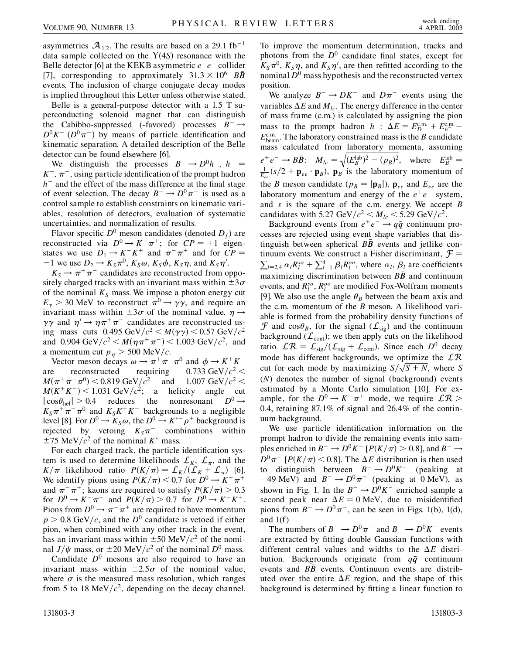asymmetries  $\mathcal{A}_{1,2}$ . The results are based on a 29.1 fb<sup>-1</sup> data sample collected on the  $Y(4S)$  resonance with the Belle detector [6] at the KEKB asymmetric  $e^+e^-$  collider [7], corresponding to approximately  $31.3 \times 10^6$  *BB* events. The inclusion of charge conjugate decay modes is implied throughout this Letter unless otherwise stated.

Belle is a general-purpose detector with a 1.5 T superconducting solenoid magnet that can distinguish the Cabibbo-suppressed (-favored) processes  $B^- \rightarrow$  $D^0 K^-$  ( $D^0 \pi^-$ ) by means of particle identification and kinematic separation. A detailed description of the Belle detector can be found elsewhere [6].

We distinguish the processes  $B^- \rightarrow D^0 h^-$ ,  $h^ K^-$ ,  $\pi^-$ , using particle identification of the prompt hadron  $h^-$  and the effect of the mass difference at the final stage of event selection. The decay  $B^- \to D^0 \pi^-$  is used as a control sample to establish constraints on kinematic variables, resolution of detectors, evaluation of systematic uncertainties, and normalization of results.

Flavor specific  $D^0$  meson candidates (denoted  $D_f$ ) are reconstructed via  $D^0 \to K^- \pi^+$ ; for  $CP = +1$  eigenstates we use  $D_1 \rightarrow K^- K^+$  and  $\pi^- \pi^+$  and for  $CP =$  $-1$  we use  $D_2 \rightarrow K_S \pi^0$ ,  $K_S \omega$ ,  $K_S \phi$ ,  $K_S \eta$ , and  $K_S \eta'$ .

 $K_S \rightarrow \pi^+ \pi^-$  candidates are reconstructed from oppositely charged tracks with an invariant mass within  $\pm 3\sigma$ of the nominal  $K<sub>S</sub>$  mass. We impose a photon energy cut  $E_{\gamma}$  > 30 MeV to reconstruct  $\pi^{0} \rightarrow \gamma \gamma$ , and require an invariant mass within  $\pm 3\sigma$  of the nominal value.  $\eta \rightarrow$  $\gamma\gamma$  and  $\eta' \rightarrow \eta \pi^+ \pi^-$  candidates are reconstructed using mass cuts  $0.495 \text{ GeV}/c^2 < M(\gamma \gamma) < 0.57 \text{ GeV}/c^2$ and 0.904 GeV/ $c^2 < M(\eta \pi^+ \pi^-) < 1.003$  GeV/ $c^2$ , and a momentum cut  $p_n > 500 \text{ MeV}/c$ .

Vector meson decays  $\omega \to \pi^+ \pi^- \pi^0$  and  $\phi \to K^+ K^$ are reconstructed requiring  $0.733 \text{ GeV}/c^2 <$  $M(\pi^+\pi^-\pi^0)$  < 0.819 GeV/ $c^2$  and 1.007 GeV/ $c^2$  <  $M(K^+K^-)$  < 1.031 GeV/ $c^2$ ; a helicity angle cut  $|\cos\theta_{\text{hel}}| > 0.4$  reduces the nonresonant  $D^0 \rightarrow$  $K_S \pi^+ \pi^- \pi^0$  and  $K_S K^+ K^-$  backgrounds to a negligible level [8]. For  $D^0 \to K_S \omega$ , the  $D^0 \to K^{*-} \rho^+$  background is rejected by vetoing  $K_S \pi^-$  combinations within  $\pm$ 75 MeV/ $c^2$  of the nominal  $K^*$  mass.

For each charged track, the particle identification system is used to determine likelihoods  $\mathcal{L}_K$ ,  $\mathcal{L}_{\pi}$ , and the *K*/ $\pi$  likelihood ratio  $P(K/\pi) = \frac{\mathcal{L}_K}{\mathcal{L}_K} + \mathcal{L}_\pi$  [6]. We identify pions using  $P(K/\pi) < 0.7$  for  $D^0 \to K^- \pi^+$ and  $\pi^{-}\pi^{+}$ ; kaons are required to satisfy  $P(K/\pi) > 0.3$ for  $D^0 \to K^- \pi^+$  and  $P(K/\pi) > 0.7$  for  $D^0 \to K^- K^+$ . Pions from  $D^0 \to \pi^- \pi^+$  are required to have momentum  $p > 0.8$  GeV/c, and the  $D^0$  candidate is vetoed if either pion, when combined with any other track in the event, has an invariant mass within  $\pm 50$  MeV/ $c^2$  of the nominal  $J/\psi$  mass, or  $\pm 20$  MeV/ $c^2$  of the nominal  $D^0$  mass.

Candidate  $D^0$  mesons are also required to have an invariant mass within  $\pm 2.5\sigma$  of the nominal value, where  $\sigma$  is the measured mass resolution, which ranges from 5 to 18 MeV $/c^2$ , depending on the decay channel.

To improve the momentum determination, tracks and photons from the  $D^0$  candidate final states, except for  $K_S \pi^0$ ,  $K_S \eta$ , and  $K_S \eta'$ , are then refitted according to the nominal  $D^0$  mass hypothesis and the reconstructed vertex position.

We analyze  $B^- \to DK^-$  and  $D\pi^-$  events using the variables  $\Delta E$  and  $M_{lc}$ . The energy difference in the center of mass frame (c.m.) is calculated by assigning the pion mass to the prompt hadron  $h^-$ :  $\Delta E = E_D^{\text{c.m.}} + E_h^{\text{c.m.}} E_{\text{beam}}^{\text{c.m.}}$ . The laboratory constrained mass is the *B* candidate mass calculated from laboratory momenta, assuming  $e^+e^- \to B\bar{B}$ :  $M_{lc} = \sqrt{(E_B^{\text{lab}})^2 - (p_B)^2}$ , where  $E_B^{\text{lab}} =$  $\frac{1}{E_{ee}}(s/2 + \mathbf{p}_{ee} \cdot \mathbf{p}_B)$ ,  $\mathbf{p}_B$  is the laboratory momentum of the *B* meson candidate ( $p_B = |\mathbf{p}_B|$ ),  $\mathbf{p}_{ee}$  and  $E_{ee}$  are the laboratory momentum and energy of the  $e^+e^-$  system, and *s* is the square of the c.m. energy. We accept *B* candidates with 5.27 GeV/ $c^2 < M_{lc} < 5.29$  GeV/ $c^2$ .

Background events from  $e^+e^- \rightarrow q\bar{q}$  continuum processes are rejected using event shape variables that distinguish between spherical  $B\bar{B}$  events and jetlike continuum events. We construct a Fisher discriminant,  $\mathcal{F} =$  $l_{l=2,4} \alpha_l R_l^{so} + \sum_{l=1}^4 \beta_l R_l^{oo}$ , where  $\alpha_l$ ,  $\beta_l$  are coefficients maximizing discrimination between  $B\bar{B}$  and continuum events, and  $R_i^{so}$ ,  $R_i^{oo}$  are modified Fox-Wolfram moments [9]. We also use the angle  $\theta_B$  between the beam axis and the c.m. momentum of the *B* meson. A likelihood variable is formed from the probability density functions of  $\mathcal F$  and cos $\theta_B$ , for the signal  $(\mathcal L_{sig})$  and the continuum background ( $\mathcal{L}_{cont}$ ); we then apply cuts on the likelihood ratio  $LR = \frac{\mathcal{L}_{\text{sig}}}{\mathcal{L}_{\text{sig}}} + \mathcal{L}_{\text{cont}}$ . Since each  $D^0$  decay mode has different backgrounds, we optimize the  $LR$ mode has different backgrounds, we optimize the  $LK$ <br>cut for each mode by maximizing  $S/\sqrt{S+N}$ , where *S* (*N*) denotes the number of signal (background) events estimated by a Monte Carlo simulation [10]. For example, for the  $D^0 \rightarrow K^- \pi^+$  mode, we require  $LR >$ 0*:*4, retaining 87*:*1% of signal and 26*:*4% of the continuum background.

We use particle identification information on the prompt hadron to divide the remaining events into samples enriched in  $B^- \to D^0 K^-$  [ $P(K/\pi) > 0.8$ ], and  $B^- \to$  $D^0 \pi^-$  [*P*(*K*/ $\pi$ ) < 0.8]. The  $\Delta E$  distribution is then used to distinguish between  $B^- \rightarrow D^0 K^-$  (peaking at  $-49$  MeV) and  $B^- \rightarrow D^0 \pi^-$  (peaking at 0 MeV), as shown in Fig. 1. In the  $B^- \rightarrow D^0 K^-$  enriched sample a second peak near  $\Delta E = 0$  MeV, due to misidentified pions from  $B^- \to D^0 \pi^-$ , can be seen in Figs. 1(b), 1(d), and  $1(f)$ 

The numbers of  $B^- \to D^0 \pi^-$  and  $B^- \to D^0 K^-$  events are extracted by fitting double Gaussian functions with different central values and widths to the  $\Delta E$  distribution. Backgrounds originate from *qq*- continuum events and  $B\bar{B}$  events. Continuum events are distributed over the entire  $\Delta E$  region, and the shape of this background is determined by fitting a linear function to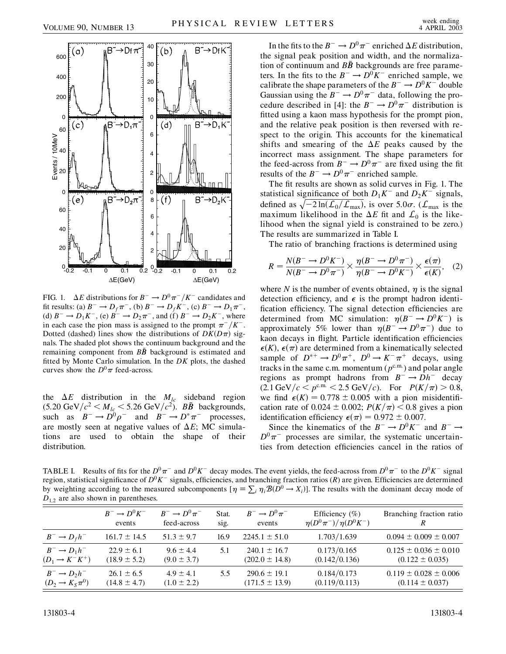

FIG. 1.  $\Delta E$  distributions for  $B^- \to D^0 \pi^- / K^-$  candidates and fit results: (a)  $B^- \to D_f \pi^-$ , (b)  $B^- \to D_f K^-$ , (c)  $B^- \to D_1 \pi^-$ , (d)  $B^- \to D_1 K^-$ , (e)  $B^- \to D_2 \pi^-$ , and (f)  $B^- \to D_2 K^-$ , where in each case the pion mass is assigned to the prompt  $\pi^{-}/K^{-}$ . Dotted (dashed) lines show the distributions of  $DK(D\pi)$  signals. The shaded plot shows the continuum background and the remaining component from  $B\bar{B}$  background is estimated and fitted by Monte Carlo simulation. In the *DK* plots, the dashed curves show the  $D^0\pi$  feed-across.

the  $\Delta E$  distribution in the  $M_{lc}$  sideband region  $(5.20 \text{ GeV}/c^2 < M_{lc} < 5.26 \text{ GeV}/c^2)$ . *BB* backgrounds, such as  $B^- \to D^0 \rho^-$  and  $B^- \to D^* \pi^-$  processes, are mostly seen at negative values of  $\Delta E$ ; MC simulations are used to obtain the shape of their distribution.

In the fits to the  $B^- \to D^0 \pi^-$  enriched  $\Delta E$  distribution, the signal peak position and width, and the normalization of continuum and  $B\bar{B}$  backgrounds are free parameters. In the fits to the  $B^- \rightarrow D^0 K^-$  enriched sample, we calibrate the shape parameters of the  $B^- \rightarrow D^0 K^-$  double Gaussian using the  $B^- \to D^0 \pi^-$  data, following the procedure described in [4]: the  $B^- \rightarrow D^0 \pi^-$  distribution is fitted using a kaon mass hypothesis for the prompt pion, and the relative peak position is then reversed with respect to the origin. This accounts for the kinematical shifts and smearing of the  $\Delta E$  peaks caused by the incorrect mass assignment. The shape parameters for the feed-across from  $B^- \to D^0 \pi^-$  are fixed using the fit results of the  $B^- \rightarrow D^0 \pi^-$  enriched sample.

The fit results are shown as solid curves in Fig. 1. The statistical significance of both  $D_1 K^-$  and  $D_2 K^-$  signals, defined as  $\sqrt{-2 \ln(L_0/L_{\text{max}})}$ , is over 5.0 $\sigma$ . ( $L_{\text{max}}$  is the maximum likelihood in the  $\Delta E$  fit and  $\mathcal{L}_0$  is the likelihood when the signal yield is constrained to be zero.) The results are summarized in Table I.

The ratio of branching fractions is determined using

$$
R = \frac{N(B^- \to D^0 K^-)}{N(B^- \to D^0 \pi^-)} \times \frac{\eta(B^- \to D^0 \pi^-)}{\eta(B^- \to D^0 K^-)} \times \frac{\epsilon(\pi)}{\epsilon(K)}, \quad (2)
$$

where *N* is the number of events obtained,  $\eta$  is the signal detection efficiency, and  $\epsilon$  is the prompt hadron identification efficiency. The signal detection efficiencies are determined from MC simulation:  $\eta(B^- \to D^0 K^-)$  is approximately 5% lower than  $\eta(B^- \to D^0 \pi^-)$  due to kaon decays in flight. Particle identification efficiencies  $\epsilon(K)$ ,  $\epsilon(\pi)$  are determined from a kinematically selected sample of  $D^{*+} \to D^0 \pi^+$ ,  $D^0 \to K^- \pi^+$  decays, using tracks in the same c.m. momentum  $(p^{c.m.})$  and polar angle regions as prompt hadrons from  $B^- \rightarrow Dh^-$  decay  $(2.1 \text{ GeV}/c < p^{\text{c.m.}} < 2.5 \text{ GeV}/c)$ . For  $P(K/\pi) > 0.8$ , we find  $\epsilon(K) = 0.778 \pm 0.005$  with a pion misidentification rate of  $0.024 \pm 0.002$ ;  $P(K/\pi) < 0.8$  gives a pion identification efficiency  $\epsilon(\pi) = 0.972 \pm 0.007$ .

Since the kinematics of the  $B^- \rightarrow D^0 K^-$  and  $B^- \rightarrow$  $D^0\pi^-$  processes are similar, the systematic uncertainties from detection efficiencies cancel in the ratios of

TABLE I. Results of fits for the  $D^0\pi^-$  and  $D^0K^-$  decay modes. The event yields, the feed-across from  $D^0\pi^-$  to the  $D^0K^-$  signal region, statistical significance of  $D^0 K^-$  signals, efficiencies, and branching fraction ratios ( $R$ ) are given. Efficiencies are determined by weighting according to the measured subcomponents  $[\eta = \sum_i \eta_i \mathcal{B}(D^0 \to X_i)]$ . The results with the dominant decay mode of  $D_{1,2}$  are also shown in parentheses.

|                               | $B^- \rightarrow D^0 K^-$ | $B^- \rightarrow D^0 \pi^-$ | Stat. | $B^- \rightarrow D^0 \pi^-$ | Efficiency $(\%)$             | Branching fraction ratio    |
|-------------------------------|---------------------------|-----------------------------|-------|-----------------------------|-------------------------------|-----------------------------|
|                               | events                    | feed-across                 | sig.  | events                      | $\eta(D^0\pi^-)/\eta(D^0K^-)$ | R                           |
| $B^- \rightarrow D_f h^-$     | $161.7 \pm 14.5$          | $51.3 \pm 9.7$              | 16.9  | $2245.1 \pm 51.0$           | 1.703/1.639                   | $0.094 \pm 0.009 \pm 0.007$ |
| $B^- \rightarrow D_1 h^-$     | $22.9 \pm 6.1$            | $9.6 \pm 4.4$               | 5.1   | $240.1 \pm 16.7$            | 0.173/0.165                   | $0.125 \pm 0.036 \pm 0.010$ |
| $(D_1 \rightarrow K^- K^+)$   | $(18.9 \pm 5.2)$          | $(9.0 \pm 3.7)$             |       | $(202.0 \pm 14.8)$          | (0.142/0.136)                 | $(0.122 \pm 0.035)$         |
| $B^- \rightarrow D_2 h^-$     | $26.1 \pm 6.5$            | $4.9 \pm 4.1$               | 5.5   | $290.6 \pm 19.1$            | 0.184/0.173                   | $0.119 \pm 0.028 \pm 0.006$ |
| $(D_2 \rightarrow K_S \pi^0)$ | $(14.8 \pm 4.7)$          | $(1.0 \pm 2.2)$             |       | $(171.5 \pm 13.9)$          | (0.119/0.113)                 | $(0.114 \pm 0.037)$         |